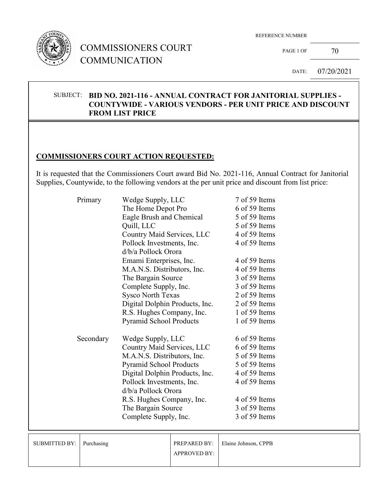

## COMMISSIONERS COURT COMMUNICATION

REFERENCE NUMBER

PAGE 1 OF  $70$ 

DATE: 07/20/2021

#### SUBJECT: **BID NO. 2021-116 - ANNUAL CONTRACT FOR JANITORIAL SUPPLIES - COUNTYWIDE - VARIOUS VENDORS - PER UNIT PRICE AND DISCOUNT FROM LIST PRICE**

### **COMMISSIONERS COURT ACTION REQUESTED:**

It is requested that the Commissioners Court award Bid No. 2021-116, Annual Contract for Janitorial Supplies, Countywide, to the following vendors at the per unit price and discount from list price:

| Primary   | Wedge Supply, LLC              | 7 of 59 Items |
|-----------|--------------------------------|---------------|
|           | The Home Depot Pro             | 6 of 59 Items |
|           | Eagle Brush and Chemical       | 5 of 59 Items |
|           | Quill, LLC                     | 5 of 59 Items |
|           | Country Maid Services, LLC     | 4 of 59 Items |
|           | Pollock Investments, Inc.      | 4 of 59 Items |
|           | d/b/a Pollock Orora            |               |
|           | Emami Enterprises, Inc.        | 4 of 59 Items |
|           | M.A.N.S. Distributors, Inc.    | 4 of 59 Items |
|           | The Bargain Source             | 3 of 59 Items |
|           | Complete Supply, Inc.          | 3 of 59 Items |
|           | <b>Sysco North Texas</b>       | 2 of 59 Items |
|           | Digital Dolphin Products, Inc. | 2 of 59 Items |
|           | R.S. Hughes Company, Inc.      | 1 of 59 Items |
|           | <b>Pyramid School Products</b> | 1 of 59 Items |
| Secondary | Wedge Supply, LLC              | 6 of 59 Items |
|           | Country Maid Services, LLC     | 6 of 59 Items |
|           | M.A.N.S. Distributors, Inc.    | 5 of 59 Items |
|           | Pyramid School Products        | 5 of 59 Items |
|           | Digital Dolphin Products, Inc. | 4 of 59 Items |
|           | Pollock Investments, Inc.      | 4 of 59 Items |
|           | d/b/a Pollock Orora            |               |
|           | R.S. Hughes Company, Inc.      | 4 of 59 Items |
|           | The Bargain Source             | 3 of 59 Items |
|           | Complete Supply, Inc.          | 3 of 59 Items |
|           |                                |               |

| SUBMITTED BY: Purchasing |                     | <b>PREPARED BY:</b> Elaine Johnson, CPPB |
|--------------------------|---------------------|------------------------------------------|
|                          | <b>APPROVED BY:</b> |                                          |
|                          |                     |                                          |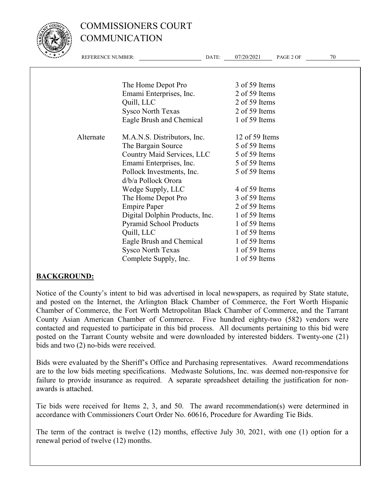

## COMMISSIONERS COURT COMMUNICATION

| $\mathcal{L}$ , and $\mathcal{L}$ , and $\mathcal{L}$ | <b>REFERENCE NUMBER:</b> | DATE:                          | 07/20/2021<br>PAGE 2 OF | 70 |
|-------------------------------------------------------|--------------------------|--------------------------------|-------------------------|----|
|                                                       |                          |                                |                         |    |
|                                                       |                          | The Home Depot Pro             | 3 of 59 Items           |    |
|                                                       |                          | Emami Enterprises, Inc.        | 2 of 59 Items           |    |
|                                                       |                          | Quill, LLC                     | 2 of 59 Items           |    |
|                                                       |                          | <b>Sysco North Texas</b>       | 2 of 59 Items           |    |
|                                                       |                          | Eagle Brush and Chemical       | 1 of 59 Items           |    |
|                                                       | Alternate                | M.A.N.S. Distributors, Inc.    | 12 of 59 Items          |    |
|                                                       |                          | The Bargain Source             | 5 of 59 Items           |    |
|                                                       |                          | Country Maid Services, LLC     | 5 of 59 Items           |    |
|                                                       |                          | Emami Enterprises, Inc.        | 5 of 59 Items           |    |
|                                                       |                          | Pollock Investments, Inc.      | 5 of 59 Items           |    |
|                                                       |                          | d/b/a Pollock Orora            |                         |    |
|                                                       |                          | Wedge Supply, LLC              | 4 of 59 Items           |    |
|                                                       |                          | The Home Depot Pro             | 3 of 59 Items           |    |
|                                                       |                          | <b>Empire Paper</b>            | 2 of 59 Items           |    |
|                                                       |                          | Digital Dolphin Products, Inc. | 1 of 59 Items           |    |
|                                                       |                          | <b>Pyramid School Products</b> | 1 of 59 Items           |    |
|                                                       |                          | Quill, LLC                     | 1 of 59 Items           |    |
|                                                       |                          | Eagle Brush and Chemical       | 1 of 59 Items           |    |
|                                                       |                          | <b>Sysco North Texas</b>       | 1 of 59 Items           |    |
|                                                       |                          | Complete Supply, Inc.          | 1 of 59 Items           |    |

#### **BACKGROUND:**

Notice of the County's intent to bid was advertised in local newspapers, as required by State statute, and posted on the Internet, the Arlington Black Chamber of Commerce, the Fort Worth Hispanic Chamber of Commerce, the Fort Worth Metropolitan Black Chamber of Commerce, and the Tarrant County Asian American Chamber of Commerce. Five hundred eighty-two (582) vendors were contacted and requested to participate in this bid process. All documents pertaining to this bid were posted on the Tarrant County website and were downloaded by interested bidders. Twenty-one (21) bids and two (2) no-bids were received.

Bids were evaluated by the Sheriff's Office and Purchasing representatives. Award recommendations are to the low bids meeting specifications. Medwaste Solutions, Inc. was deemed non-responsive for failure to provide insurance as required. A separate spreadsheet detailing the justification for nonawards is attached.

Tie bids were received for Items 2, 3, and 50. The award recommendation(s) were determined in accordance with Commissioners Court Order No. 60616, Procedure for Awarding Tie Bids.

The term of the contract is twelve (12) months, effective July 30, 2021, with one (1) option for a renewal period of twelve (12) months.